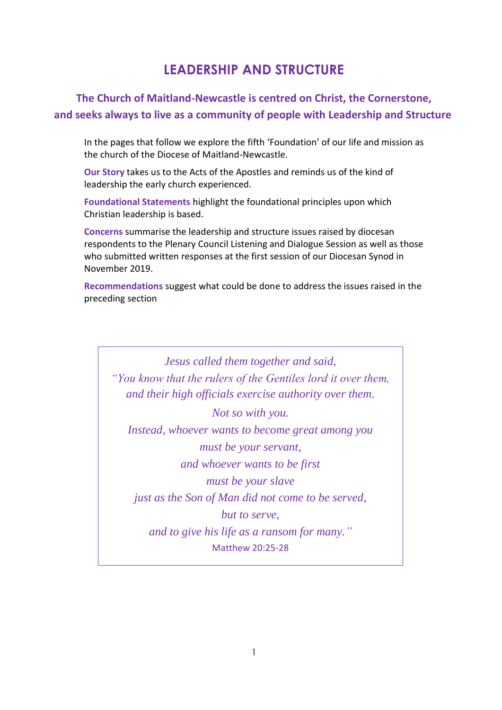# **LEADERSHIP AND STRUCTURE**

# **The Church of Maitland-Newcastle is centred on Christ, the Cornerstone, and seeks always to live as a community of people with Leadership and Structure**

In the pages that follow we explore the fifth 'Foundation' of our life and mission as the church of the Diocese of Maitland-Newcastle.

**Our Story** takes us to the Acts of the Apostles and reminds us of the kind of leadership the early church experienced.

**Foundational Statements** highlight the foundational principles upon which Christian leadership is based.

**Concerns** summarise the leadership and structure issues raised by diocesan respondents to the Plenary Council Listening and Dialogue Session as well as those who submitted written responses at the first session of our Diocesan Synod in November 2019.

**Recommendations** suggest what could be done to address the issues raised in the preceding section

*Jesus called them together and said, "You know that the rulers of the Gentiles lord it over them, and their high officials exercise authority over them. Not so with you. Instead, whoever wants to become great among you must be your servant, and whoever wants to be first must be your slave just as the Son of Man did not come to be served, but to serve, and to give his life as a ransom for many."* Matthew 20:25-28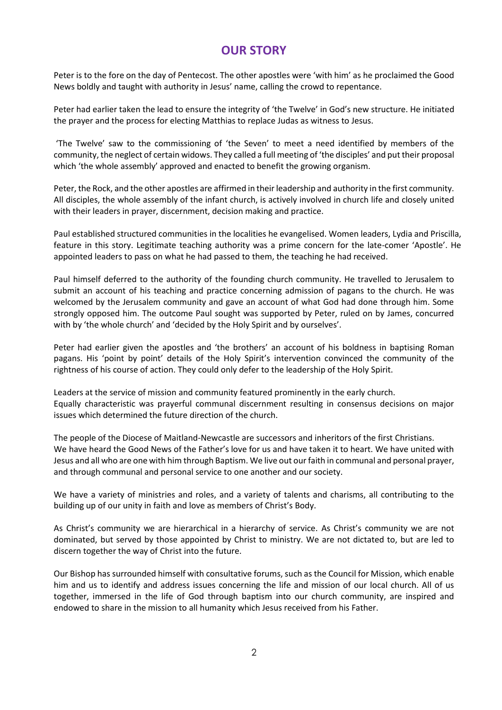# **OUR STORY**

Peter is to the fore on the day of Pentecost. The other apostles were 'with him' as he proclaimed the Good News boldly and taught with authority in Jesus' name, calling the crowd to repentance.

Peter had earlier taken the lead to ensure the integrity of 'the Twelve' in God's new structure. He initiated the prayer and the process for electing Matthias to replace Judas as witness to Jesus.

'The Twelve' saw to the commissioning of 'the Seven' to meet a need identified by members of the community, the neglect of certain widows. They called a full meeting of 'the disciples' and put their proposal which 'the whole assembly' approved and enacted to benefit the growing organism.

Peter, the Rock, and the other apostles are affirmed in their leadership and authority in the first community. All disciples, the whole assembly of the infant church, is actively involved in church life and closely united with their leaders in prayer, discernment, decision making and practice.

Paul established structured communities in the localities he evangelised. Women leaders, Lydia and Priscilla, feature in this story. Legitimate teaching authority was a prime concern for the late-comer 'Apostle'. He appointed leaders to pass on what he had passed to them, the teaching he had received.

Paul himself deferred to the authority of the founding church community. He travelled to Jerusalem to submit an account of his teaching and practice concerning admission of pagans to the church. He was welcomed by the Jerusalem community and gave an account of what God had done through him. Some strongly opposed him. The outcome Paul sought was supported by Peter, ruled on by James, concurred with by 'the whole church' and 'decided by the Holy Spirit and by ourselves'.

Peter had earlier given the apostles and 'the brothers' an account of his boldness in baptising Roman pagans. His 'point by point' details of the Holy Spirit's intervention convinced the community of the rightness of his course of action. They could only defer to the leadership of the Holy Spirit.

Leaders at the service of mission and community featured prominently in the early church. Equally characteristic was prayerful communal discernment resulting in consensus decisions on major issues which determined the future direction of the church.

The people of the Diocese of Maitland-Newcastle are successors and inheritors of the first Christians. We have heard the Good News of the Father's love for us and have taken it to heart. We have united with Jesus and all who are one with him through Baptism. We live out our faith in communal and personal prayer, and through communal and personal service to one another and our society.

We have a variety of ministries and roles, and a variety of talents and charisms, all contributing to the building up of our unity in faith and love as members of Christ's Body.

As Christ's community we are hierarchical in a hierarchy of service. As Christ's community we are not dominated, but served by those appointed by Christ to ministry. We are not dictated to, but are led to discern together the way of Christ into the future.

Our Bishop has surrounded himself with consultative forums, such as the Council for Mission, which enable him and us to identify and address issues concerning the life and mission of our local church. All of us together, immersed in the life of God through baptism into our church community, are inspired and endowed to share in the mission to all humanity which Jesus received from his Father.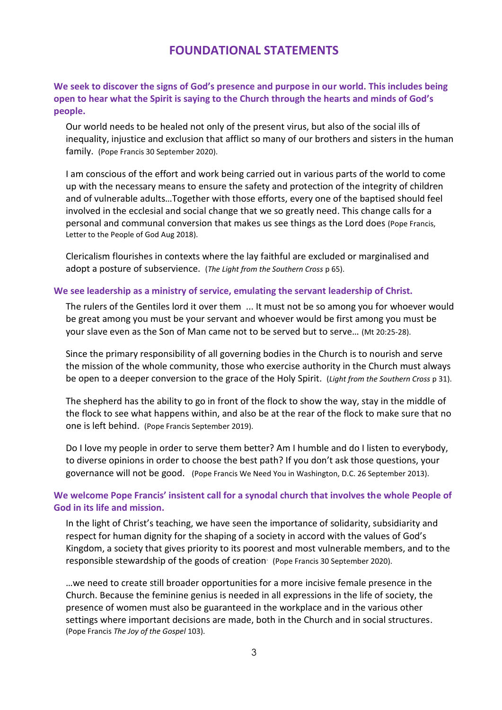## **FOUNDATIONAL STATEMENTS**

#### **We seek to discover the signs of God's presence and purpose in our world. This includes being open to hear what the Spirit is saying to the Church through the hearts and minds of God's people.**

Our world needs to be healed not only of the present virus, but also of the social ills of inequality, injustice and exclusion that afflict so many of our brothers and sisters in the human family. (Pope Francis 30 September 2020).

I am conscious of the effort and work being carried out in various parts of the world to come up with the necessary means to ensure the safety and protection of the integrity of children and of vulnerable adults…Together with those efforts, every one of the baptised should feel involved in the ecclesial and social change that we so greatly need. This change calls for a personal and communal conversion that makes us see things as the Lord does (Pope Francis, Letter to the People of God Aug 2018).

Clericalism flourishes in contexts where the lay faithful are excluded or marginalised and adopt a posture of subservience. (*The Light from the Southern Cross* p 65).

#### **We see leadership as a ministry of service, emulating the servant leadership of Christ.**

The rulers of the Gentiles lord it over them ... It must not be so among you for whoever would be great among you must be your servant and whoever would be first among you must be your slave even as the Son of Man came not to be served but to serve… (Mt 20:25-28).

Since the primary responsibility of all governing bodies in the Church is to nourish and serve the mission of the whole community, those who exercise authority in the Church must always be open to a deeper conversion to the grace of the Holy Spirit. (*Light from the Southern Cross* p 31).

The shepherd has the ability to go in front of the flock to show the way, stay in the middle of the flock to see what happens within, and also be at the rear of the flock to make sure that no one is left behind. (Pope Francis September 2019).

Do I love my people in order to serve them better? Am I humble and do I listen to everybody, to diverse opinions in order to choose the best path? If you don't ask those questions, your governance will not be good. (Pope Francis We Need You in Washington, D.C. 26 September 2013).

#### **We welcome Pope Francis' insistent call for a synodal church that involves the whole People of God in its life and mission.**

In the light of Christ's teaching, we have seen the importance of solidarity, subsidiarity and respect for human dignity for the shaping of a society in accord with the values of God's Kingdom, a society that gives priority to its poorest and most vulnerable members, and to the responsible stewardship of the goods of creation (Pope Francis 30 September 2020).

…we need to create still broader opportunities for a more incisive female presence in the Church. Because the feminine genius is needed in all expressions in the life of society, the presence of women must also be guaranteed in the workplace and in the various other settings where important decisions are made, both in the Church and in social structures. (Pope Francis *The Joy of the Gospel* 103).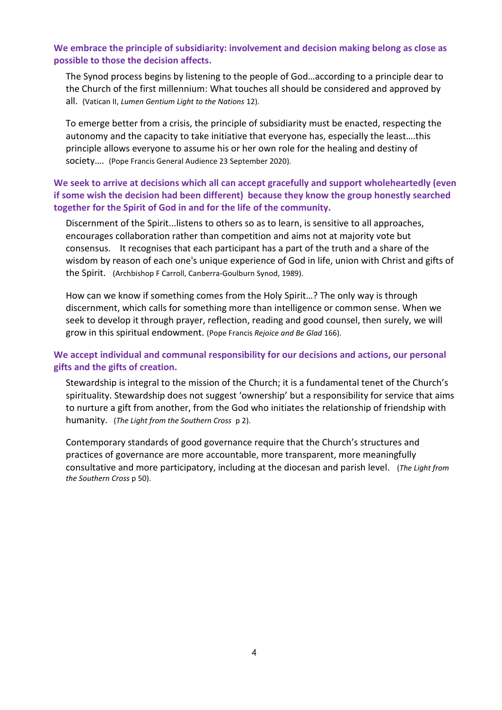#### **We embrace the principle of subsidiarity: involvement and decision making belong as close as possible to those the decision affects.**

The Synod process begins by listening to the people of God…according to a principle dear to the Church of the first millennium: What touches all should be considered and approved by all. (Vatican II, *Lumen Gentium Light to the Nations* 12).

To emerge better from a crisis, the principle of subsidiarity must be enacted, respecting the autonomy and the capacity to take initiative that everyone has, especially the least….this principle allows everyone to assume his or her own role for the healing and destiny of society…. (Pope Francis General Audience 23 September 2020).

## **We seek to arrive at decisions which all can accept gracefully and support wholeheartedly (even if some wish the decision had been different) because they know the group honestly searched together for the Spirit of God in and for the life of the community.**

Discernment of the Spirit...listens to others so as to learn, is sensitive to all approaches, encourages collaboration rather than competition and aims not at majority vote but consensus. It recognises that each participant has a part of the truth and a share of the wisdom by reason of each one's unique experience of God in life, union with Christ and gifts of the Spirit. (Archbishop F Carroll, Canberra-Goulburn Synod, 1989).

How can we know if something comes from the Holy Spirit…? The only way is through discernment, which calls for something more than intelligence or common sense. When we seek to develop it through prayer, reflection, reading and good counsel, then surely, we will grow in this spiritual endowment. (Pope Francis *Rejoice and Be Glad* 166).

## **We accept individual and communal responsibility for our decisions and actions, our personal gifts and the gifts of creation.**

Stewardship is integral to the mission of the Church; it is a fundamental tenet of the Church's spirituality. Stewardship does not suggest 'ownership' but a responsibility for service that aims to nurture a gift from another, from the God who initiates the relationship of friendship with humanity. (*The Light from the Southern Cross* p 2).

Contemporary standards of good governance require that the Church's structures and practices of governance are more accountable, more transparent, more meaningfully consultative and more participatory, including at the diocesan and parish level. (*The Light from the Southern Cross* p 50).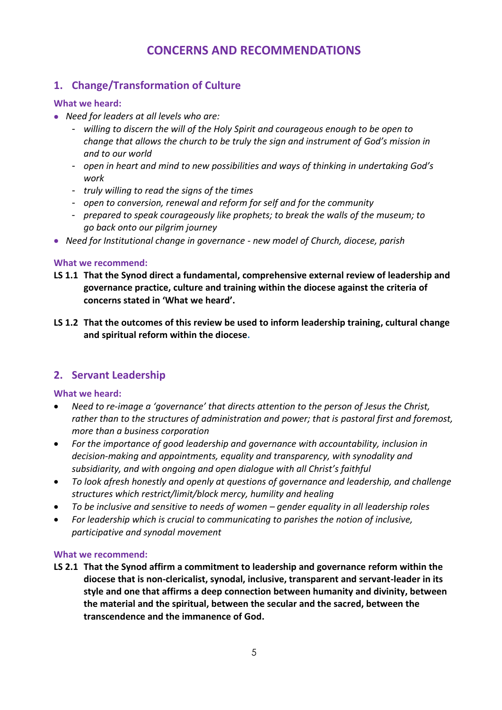# **CONCERNS AND RECOMMENDATIONS**

# **1. Change/Transformation of Culture**

## **What we heard:**

- *Need for leaders at all levels who are:*
	- *willing to discern the will of the Holy Spirit and courageous enough to be open to change that allows the church to be truly the sign and instrument of God's mission in and to our world*
	- *open in heart and mind to new possibilities and ways of thinking in undertaking God's work*
	- *truly willing to read the signs of the times*
	- *open to conversion, renewal and reform for self and for the community*
	- *prepared to speak courageously like prophets; to break the walls of the museum; to go back onto our pilgrim journey*
- *Need for Institutional change in governance - new model of Church, diocese, parish*

## **What we recommend:**

- **LS 1.1 That the Synod direct a fundamental, comprehensive external review of leadership and governance practice, culture and training within the diocese against the criteria of concerns stated in 'What we heard'.**
- **LS 1.2 That the outcomes of this review be used to inform leadership training, cultural change and spiritual reform within the diocese.**

## **2. Servant Leadership**

## **What we heard:**

- *Need to re-image a 'governance' that directs attention to the person of Jesus the Christ, rather than to the structures of administration and power; that is pastoral first and foremost, more than a business corporation*
- *For the importance of good leadership and governance with accountability, inclusion in decision-making and appointments, equality and transparency, with synodality and subsidiarity, and with ongoing and open dialogue with all Christ's faithful*
- *To look afresh honestly and openly at questions of governance and leadership, and challenge structures which restrict/limit/block mercy, humility and healing*
- *To be inclusive and sensitive to needs of women – gender equality in all leadership roles*
- *For leadership which is crucial to communicating to parishes the notion of inclusive, participative and synodal movement*

## **What we recommend:**

**LS 2.1 That the Synod affirm a commitment to leadership and governance reform within the diocese that is non-clericalist, synodal, inclusive, transparent and servant-leader in its style and one that affirms a deep connection between humanity and divinity, between the material and the spiritual, between the secular and the sacred, between the transcendence and the immanence of God.**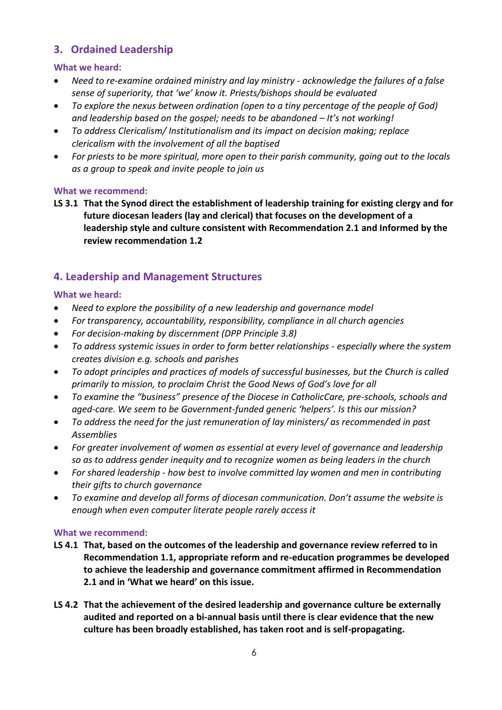# **3. Ordained Leadership**

## **What we heard:**

- *Need to re-examine ordained ministry and lay ministry - acknowledge the failures of a false sense of superiority, that 'we' know it. Priests/bishops should be evaluated*
- *To explore the nexus between ordination (open to a tiny percentage of the people of God) and leadership based on the gospel; needs to be abandoned – It's not working!*
- *To address Clericalism/ Institutionalism and its impact on decision making; replace clericalism with the involvement of all the baptised*
- *For priests to be more spiritual, more open to their parish community, going out to the locals as a group to speak and invite people to join us*

## **What we recommend:**

**LS 3.1 That the Synod direct the establishment of leadership training for existing clergy and for future diocesan leaders (lay and clerical) that focuses on the development of a leadership style and culture consistent with Recommendation 2.1 and Informed by the review recommendation 1.2**

# **4. Leadership and Management Structures**

## **What we heard:**

- *Need to explore the possibility of a new leadership and governance model*
- *For transparency, accountability, responsibility, compliance in all church agencies*
- *For decision-making by discernment (DPP Principle 3.8)*
- *To address systemic issues in order to form better relationships - especially where the system creates division e.g. schools and parishes*
- *To adopt principles and practices of models of successful businesses, but the Church is called primarily to mission, to proclaim Christ the Good News of God's love for all*
- *To examine the "business" presence of the Diocese in CatholicCare, pre-schools, schools and aged-care. We seem to be Government-funded generic 'helpers'. Is this our mission?*
- *To address the need for the just remuneration of lay ministers/ as recommended in past Assemblies*
- *For greater involvement of women as essential at every level of governance and leadership so as to address gender inequity and to recognize women as being leaders in the church*
- *For shared leadership - how best to involve committed lay women and men in contributing their gifts to church governance*
- *To examine and develop all forms of diocesan communication. Don't assume the website is enough when even computer literate people rarely access it*

## **What we recommend:**

- **LS 4.1 That, based on the outcomes of the leadership and governance review referred to in Recommendation 1.1, appropriate reform and re-education programmes be developed to achieve the leadership and governance commitment affirmed in Recommendation 2.1 and in 'What we heard' on this issue.**
- **LS 4.2 That the achievement of the desired leadership and governance culture be externally audited and reported on a bi-annual basis until there is clear evidence that the new culture has been broadly established, has taken root and is self-propagating.**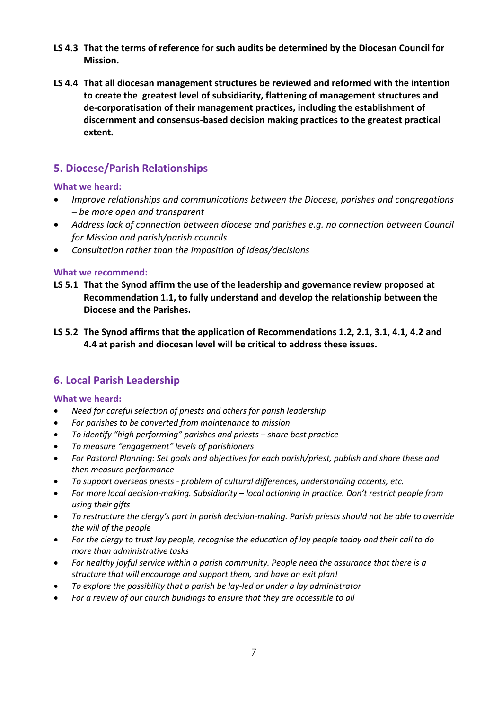- **LS 4.3 That the terms of reference for such audits be determined by the Diocesan Council for Mission.**
- **LS 4.4 That all diocesan management structures be reviewed and reformed with the intention to create the greatest level of subsidiarity, flattening of management structures and de-corporatisation of their management practices, including the establishment of discernment and consensus-based decision making practices to the greatest practical extent.**

## **5. Diocese/Parish Relationships**

## **What we heard:**

- *Improve relationships and communications between the Diocese, parishes and congregations – be more open and transparent*
- *Address lack of connection between diocese and parishes e.g. no connection between Council for Mission and parish/parish councils*
- *Consultation rather than the imposition of ideas/decisions*

#### **What we recommend:**

- **LS 5.1 That the Synod affirm the use of the leadership and governance review proposed at Recommendation 1.1, to fully understand and develop the relationship between the Diocese and the Parishes.**
- **LS 5.2 The Synod affirms that the application of Recommendations 1.2, 2.1, 3.1, 4.1, 4.2 and 4.4 at parish and diocesan level will be critical to address these issues.**

# **6. Local Parish Leadership**

## **What we heard:**

- *Need for careful selection of priests and others for parish leadership*
- *For parishes to be converted from maintenance to mission*
- *To identify "high performing" parishes and priests – share best practice*
- *To measure "engagement" levels of parishioners*
- *For Pastoral Planning: Set goals and objectives for each parish/priest, publish and share these and then measure performance*
- *To support overseas priests - problem of cultural differences, understanding accents, etc.*
- *For more local decision-making. Subsidiarity – local actioning in practice. Don't restrict people from using their gifts*
- *To restructure the clergy's part in parish decision-making. Parish priests should not be able to override the will of the people*
- *For the clergy to trust lay people, recognise the education of lay people today and their call to do more than administrative tasks*
- *For healthy joyful service within a parish community. People need the assurance that there is a structure that will encourage and support them, and have an exit plan!*
- *To explore the possibility that a parish be lay-led or under a lay administrator*
- *For a review of our church buildings to ensure that they are accessible to all*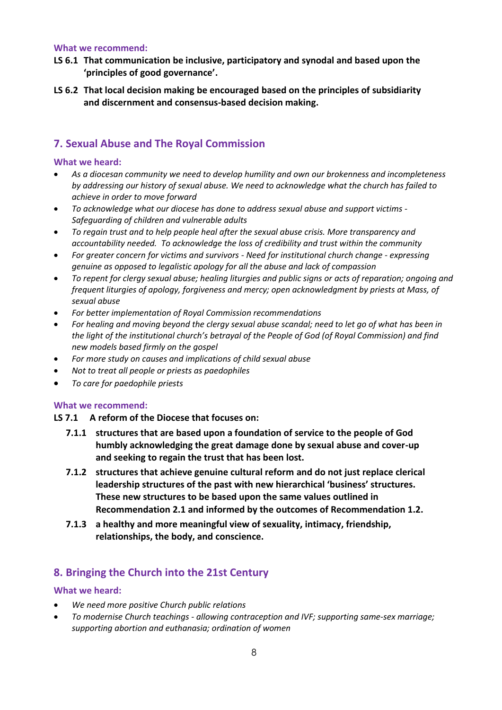#### **What we recommend:**

- **LS 6.1 That communication be inclusive, participatory and synodal and based upon the 'principles of good governance'.**
- **LS 6.2 That local decision making be encouraged based on the principles of subsidiarity and discernment and consensus-based decision making.**

## **7. Sexual Abuse and The Royal Commission**

#### **What we heard:**

- *As a diocesan community we need to develop humility and own our brokenness and incompleteness by addressing our history of sexual abuse. We need to acknowledge what the church has failed to achieve in order to move forward*
- *To acknowledge what our diocese has done to address sexual abuse and support victims - Safeguarding of children and vulnerable adults*
- *To regain trust and to help people heal after the sexual abuse crisis. More transparency and accountability needed. To acknowledge the loss of credibility and trust within the community*
- *For greater concern for victims and survivors - Need for institutional church change - expressing genuine as opposed to legalistic apology for all the abuse and lack of compassion*
- *To repent for clergy sexual abuse; healing liturgies and public signs or acts of reparation; ongoing and frequent liturgies of apology, forgiveness and mercy; open acknowledgment by priests at Mass, of sexual abuse*
- *For better implementation of Royal Commission recommendations*
- *For healing and moving beyond the clergy sexual abuse scandal; need to let go of what has been in the light of the institutional church's betrayal of the People of God (of Royal Commission) and find new models based firmly on the gospel*
- *For more study on causes and implications of child sexual abuse*
- *Not to treat all people or priests as paedophiles*
- *To care for paedophile priests*

#### **What we recommend:**

#### **LS 7.1 A reform of the Diocese that focuses on:**

- **7.1.1 structures that are based upon a foundation of service to the people of God humbly acknowledging the great damage done by sexual abuse and cover-up and seeking to regain the trust that has been lost.**
- **7.1.2 structures that achieve genuine cultural reform and do not just replace clerical leadership structures of the past with new hierarchical 'business' structures. These new structures to be based upon the same values outlined in Recommendation 2.1 and informed by the outcomes of Recommendation 1.2.**
- **7.1.3 a healthy and more meaningful view of sexuality, intimacy, friendship, relationships, the body, and conscience.**

## **8. Bringing the Church into the 21st Century**

#### **What we heard:**

- *We need more positive Church public relations*
- *To modernise Church teachings - allowing contraception and IVF; supporting same-sex marriage; supporting abortion and euthanasia; ordination of women*